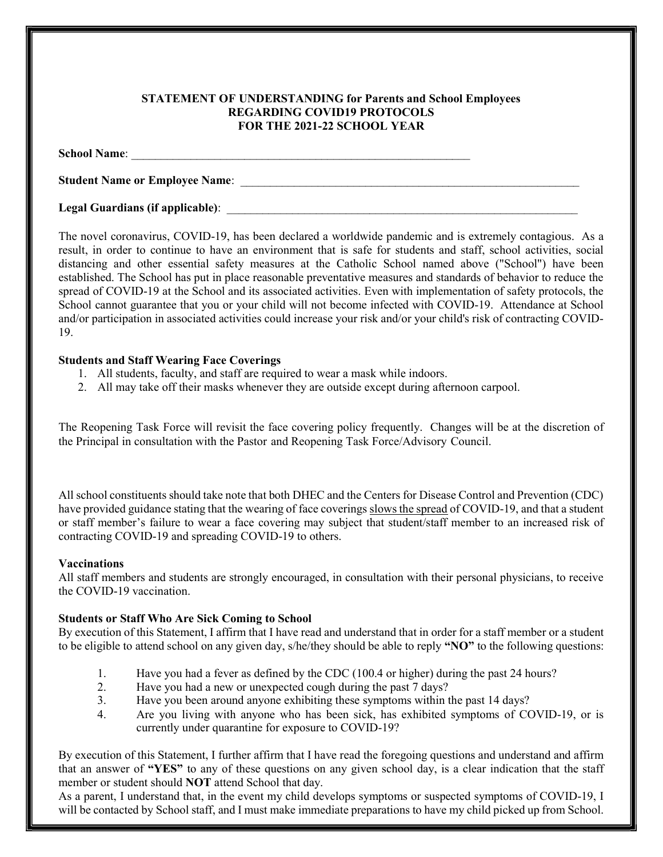# STATEMENT OF UNDERSTANDING for Parents and School Employees REGARDING COVID19 PROTOCOLS FOR THE 2021-22 SCHOOL YEAR

#### School Name:

Student Name or Employee Name: \_\_\_\_\_\_\_\_\_\_\_\_\_\_\_\_\_\_\_\_\_\_\_\_\_\_\_\_\_\_\_\_\_\_\_\_\_\_\_\_\_\_\_\_\_\_\_\_\_\_\_\_\_\_\_\_\_

# Legal Guardians (if applicable):

The novel coronavirus, COVID-19, has been declared a worldwide pandemic and is extremely contagious. As a result, in order to continue to have an environment that is safe for students and staff, school activities, social distancing and other essential safety measures at the Catholic School named above ("School") have been established. The School has put in place reasonable preventative measures and standards of behavior to reduce the spread of COVID-19 at the School and its associated activities. Even with implementation of safety protocols, the School cannot guarantee that you or your child will not become infected with COVID-19. Attendance at School and/or participation in associated activities could increase your risk and/or your child's risk of contracting COVID-19.

## Students and Staff Wearing Face Coverings

- 1. All students, faculty, and staff are required to wear a mask while indoors.
- 2. All may take off their masks whenever they are outside except during afternoon carpool.

The Reopening Task Force will revisit the face covering policy frequently. Changes will be at the discretion of the Principal in consultation with the Pastor and Reopening Task Force/Advisory Council.

All school constituents should take note that both DHEC and the Centers for Disease Control and Prevention (CDC) have provided guidance stating that the wearing of face coverings slows the spread of COVID-19, and that a student or staff member's failure to wear a face covering may subject that student/staff member to an increased risk of contracting COVID-19 and spreading COVID-19 to others.

### Vaccinations

All staff members and students are strongly encouraged, in consultation with their personal physicians, to receive the COVID-19 vaccination.

# Students or Staff Who Are Sick Coming to School

By execution of this Statement, I affirm that I have read and understand that in order for a staff member or a student to be eligible to attend school on any given day, s/he/they should be able to reply "NO" to the following questions:

- 1. Have you had a fever as defined by the CDC (100.4 or higher) during the past 24 hours?
- 2. Have you had a new or unexpected cough during the past 7 days?
- 3. Have you been around anyone exhibiting these symptoms within the past 14 days?
- 4. Are you living with anyone who has been sick, has exhibited symptoms of COVID-19, or is currently under quarantine for exposure to COVID-19?

By execution of this Statement, I further affirm that I have read the foregoing questions and understand and affirm that an answer of "YES" to any of these questions on any given school day, is a clear indication that the staff member or student should NOT attend School that day.

As a parent, I understand that, in the event my child develops symptoms or suspected symptoms of COVID-19, I will be contacted by School staff, and I must make immediate preparations to have my child picked up from School.